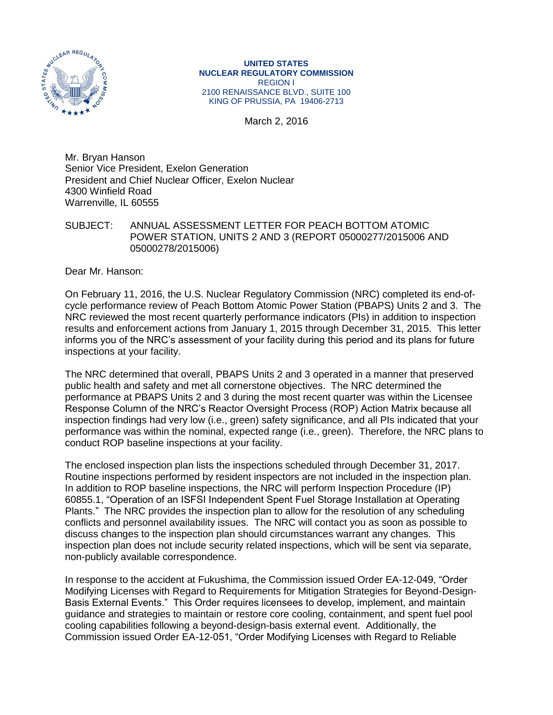

**UNITED STATES NUCLEAR REGULATORY COMMISSION** REGION I 2100 RENAISSANCE BLVD., SUITE 100 KING OF PRUSSIA, PA 19406-2713

March 2, 2016

Mr. Bryan Hanson Senior Vice President, Exelon Generation President and Chief Nuclear Officer, Exelon Nuclear 4300 Winfield Road Warrenville, IL 60555

SUBJECT: ANNUAL ASSESSMENT LETTER FOR PEACH BOTTOM ATOMIC POWER STATION, UNITS 2 AND 3 (REPORT 05000277/2015006 AND 05000278/2015006)

Dear Mr. Hanson:

On February 11, 2016, the U.S. Nuclear Regulatory Commission (NRC) completed its end-ofcycle performance review of Peach Bottom Atomic Power Station (PBAPS) Units 2 and 3. The NRC reviewed the most recent quarterly performance indicators (PIs) in addition to inspection results and enforcement actions from January 1, 2015 through December 31, 2015. This letter informs you of the NRC's assessment of your facility during this period and its plans for future inspections at your facility.

The NRC determined that overall, PBAPS Units 2 and 3 operated in a manner that preserved public health and safety and met all cornerstone objectives. The NRC determined the performance at PBAPS Units 2 and 3 during the most recent quarter was within the Licensee Response Column of the NRC's Reactor Oversight Process (ROP) Action Matrix because all inspection findings had very low (i.e., green) safety significance, and all PIs indicated that your performance was within the nominal, expected range (i.e., green). Therefore, the NRC plans to conduct ROP baseline inspections at your facility.

The enclosed inspection plan lists the inspections scheduled through December 31, 2017. Routine inspections performed by resident inspectors are not included in the inspection plan. In addition to ROP baseline inspections, the NRC will perform Inspection Procedure (IP) 60855.1, "Operation of an ISFSI Independent Spent Fuel Storage Installation at Operating Plants." The NRC provides the inspection plan to allow for the resolution of any scheduling conflicts and personnel availability issues. The NRC will contact you as soon as possible to discuss changes to the inspection plan should circumstances warrant any changes. This inspection plan does not include security related inspections, which will be sent via separate, non-publicly available correspondence.

In response to the accident at Fukushima, the Commission issued Order EA-12-049, "Order Modifying Licenses with Regard to Requirements for Mitigation Strategies for Beyond-Design-Basis External Events." This Order requires licensees to develop, implement, and maintain guidance and strategies to maintain or restore core cooling, containment, and spent fuel pool cooling capabilities following a beyond-design-basis external event. Additionally, the Commission issued Order EA-12-051, "Order Modifying Licenses with Regard to Reliable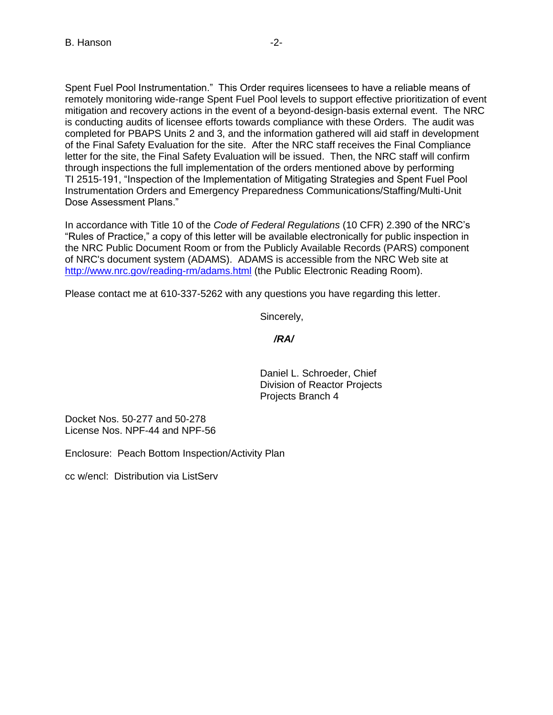Spent Fuel Pool Instrumentation." This Order requires licensees to have a reliable means of remotely monitoring wide-range Spent Fuel Pool levels to support effective prioritization of event mitigation and recovery actions in the event of a beyond-design-basis external event. The NRC is conducting audits of licensee efforts towards compliance with these Orders. The audit was completed for PBAPS Units 2 and 3, and the information gathered will aid staff in development of the Final Safety Evaluation for the site. After the NRC staff receives the Final Compliance letter for the site, the Final Safety Evaluation will be issued. Then, the NRC staff will confirm through inspections the full implementation of the orders mentioned above by performing TI 2515-191, "Inspection of the Implementation of Mitigating Strategies and Spent Fuel Pool Instrumentation Orders and Emergency Preparedness Communications/Staffing/Multi-Unit Dose Assessment Plans."

In accordance with Title 10 of the *Code of Federal Regulations* (10 CFR) 2.390 of the NRC's "Rules of Practice," a copy of this letter will be available electronically for public inspection in the NRC Public Document Room or from the Publicly Available Records (PARS) component of NRC's document system (ADAMS). ADAMS is accessible from the NRC Web site at <http://www.nrc.gov/reading-rm/adams.html> (the Public Electronic Reading Room).

Please contact me at 610-337-5262 with any questions you have regarding this letter.

Sincerely,

## */RA/*

Daniel L. Schroeder, Chief Division of Reactor Projects Projects Branch 4

Docket Nos. 50-277 and 50-278 License Nos. NPF-44 and NPF-56

Enclosure: Peach Bottom Inspection/Activity Plan

cc w/encl: Distribution via ListServ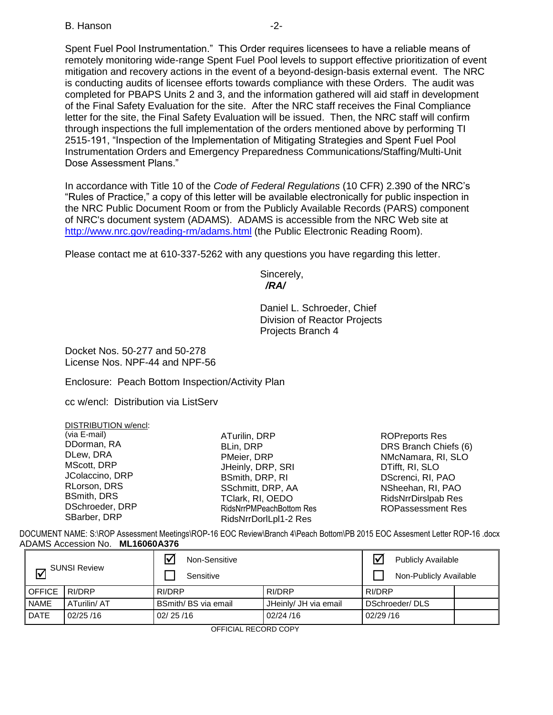## B. Hanson **B.** Hanson

Spent Fuel Pool Instrumentation." This Order requires licensees to have a reliable means of remotely monitoring wide-range Spent Fuel Pool levels to support effective prioritization of event mitigation and recovery actions in the event of a beyond-design-basis external event. The NRC is conducting audits of licensee efforts towards compliance with these Orders. The audit was completed for PBAPS Units 2 and 3, and the information gathered will aid staff in development of the Final Safety Evaluation for the site. After the NRC staff receives the Final Compliance letter for the site, the Final Safety Evaluation will be issued. Then, the NRC staff will confirm through inspections the full implementation of the orders mentioned above by performing TI 2515-191, "Inspection of the Implementation of Mitigating Strategies and Spent Fuel Pool Instrumentation Orders and Emergency Preparedness Communications/Staffing/Multi-Unit Dose Assessment Plans."

In accordance with Title 10 of the *Code of Federal Regulations* (10 CFR) 2.390 of the NRC's "Rules of Practice," a copy of this letter will be available electronically for public inspection in the NRC Public Document Room or from the Publicly Available Records (PARS) component of NRC's document system (ADAMS). ADAMS is accessible from the NRC Web site at <http://www.nrc.gov/reading-rm/adams.html> (the Public Electronic Reading Room).

Please contact me at 610-337-5262 with any questions you have regarding this letter.

Sincerely,  */RA/*

Daniel L. Schroeder, Chief Division of Reactor Projects Projects Branch 4

Docket Nos. 50-277 and 50-278 License Nos. NPF-44 and NPF-56

Enclosure: Peach Bottom Inspection/Activity Plan

cc w/encl: Distribution via ListServ

| DISTRIBUTION w/encl: |                          |                            |
|----------------------|--------------------------|----------------------------|
| (via E-mail)         | ATurilin, DRP            | <b>ROPreports Res</b>      |
| DDorman, RA          | BLin, DRP                | DRS Branch Chiefs (6)      |
| DLew, DRA            | PMeier, DRP              | NMcNamara, RI, SLO         |
| MScott, DRP          | JHeinly, DRP, SRI        | DTifft, RI, SLO            |
| JColaccino, DRP      | BSmith, DRP, RI          | DScrenci, RI, PAO          |
| RLorson, DRS         | SSchmitt, DRP, AA        | NSheehan, RI, PAO          |
| <b>BSmith, DRS</b>   | TClark, RI, OEDO         | <b>RidsNrrDirslpab Res</b> |
| DSchroeder, DRP      | RidsNrrPMPeachBottom Res | <b>ROPassessment Res</b>   |
| SBarber, DRP         | RidsNrrDorlLpl1-2 Res    |                            |

DOCUMENT NAME: S:\ROP Assessment Meetings\ROP-16 EOC Review\Branch 4\Peach Bottom\PB 2015 EOC Assesment Letter ROP-16 .docx ADAMS Accession No. **ML16060A376** 

| <b>SUNSI Review</b> |             | Non-Sensitive<br>Sensitive |                       | <b>Publicly Available</b><br>Non-Publicly Available |  |
|---------------------|-------------|----------------------------|-----------------------|-----------------------------------------------------|--|
| <b>OFFICE</b>       | RI/DRP      | RI/DRP                     | RI/DRP                | RI/DRP                                              |  |
| <b>NAME</b>         | ATurilin/AT | BSmith/BS via email        | JHeinly/ JH via email | DSchroeder/DLS                                      |  |
| <b>DATE</b>         | 02/25/16    | 02/25/16                   | 02/24/16              | 02/29/16                                            |  |

OFFICIAL RECORD COPY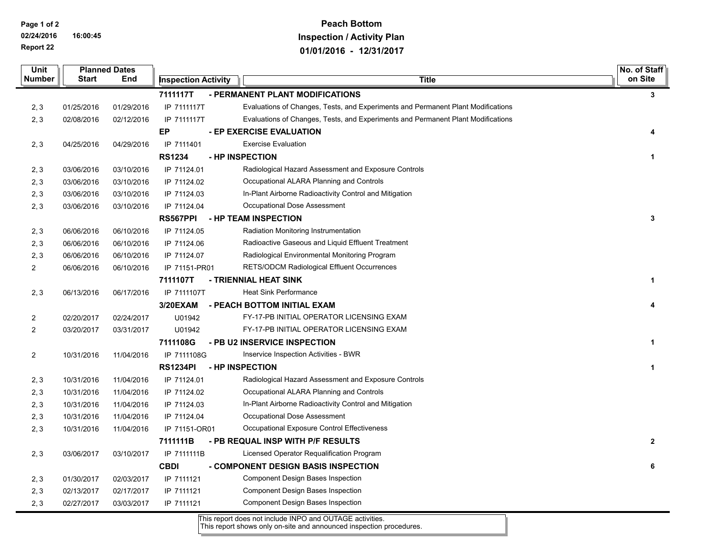**Page 1 of 2**

 $\overline{\phantom{0}}$ 

 $\blacksquare$ 

**02/24/2016 16:00:45 Report 22**

## **Peach Bottom Inspection / Activity Plan 01/01/2016 - 12/31/2017**

| Unit                                                            |                                                  | <b>Planned Dates</b> |                            |                                                                                  | No. of Staff |  |
|-----------------------------------------------------------------|--------------------------------------------------|----------------------|----------------------------|----------------------------------------------------------------------------------|--------------|--|
| <b>Number</b>                                                   | <b>Start</b>                                     | End                  | <b>Inspection Activity</b> | <b>Title</b>                                                                     | on Site      |  |
|                                                                 | 7111117T<br>- PERMANENT PLANT MODIFICATIONS<br>3 |                      |                            |                                                                                  |              |  |
| 2, 3                                                            | 01/25/2016                                       | 01/29/2016           | IP 7111117T                | Evaluations of Changes, Tests, and Experiments and Permanent Plant Modifications |              |  |
| 2, 3                                                            | 02/08/2016                                       | 02/12/2016           | IP 7111117T                | Evaluations of Changes, Tests, and Experiments and Permanent Plant Modifications |              |  |
|                                                                 |                                                  |                      | EP                         | - EP EXERCISE EVALUATION                                                         | 4            |  |
| 2, 3                                                            | 04/25/2016                                       | 04/29/2016           | IP 7111401                 | <b>Exercise Evaluation</b>                                                       |              |  |
|                                                                 |                                                  |                      | <b>RS1234</b>              | - HP INSPECTION                                                                  | 1            |  |
| 2, 3                                                            | 03/06/2016                                       | 03/10/2016           | IP 71124.01                | Radiological Hazard Assessment and Exposure Controls                             |              |  |
| 2, 3                                                            | 03/06/2016                                       | 03/10/2016           | IP 71124.02                | Occupational ALARA Planning and Controls                                         |              |  |
| 2, 3                                                            | 03/06/2016                                       | 03/10/2016           | IP 71124.03                | In-Plant Airborne Radioactivity Control and Mitigation                           |              |  |
| 2, 3                                                            | 03/06/2016                                       | 03/10/2016           | IP 71124.04                | Occupational Dose Assessment                                                     |              |  |
|                                                                 |                                                  |                      | RS567PPI                   | - HP TEAM INSPECTION                                                             | 3            |  |
| 2, 3                                                            | 06/06/2016                                       | 06/10/2016           | IP 71124.05                | Radiation Monitoring Instrumentation                                             |              |  |
| 2, 3                                                            | 06/06/2016                                       | 06/10/2016           | IP 71124.06                | Radioactive Gaseous and Liquid Effluent Treatment                                |              |  |
| 2, 3                                                            | 06/06/2016                                       | 06/10/2016           | IP 71124.07                | Radiological Environmental Monitoring Program                                    |              |  |
| $\overline{2}$                                                  | 06/06/2016                                       | 06/10/2016           | IP 71151-PR01              | <b>RETS/ODCM Radiological Effluent Occurrences</b>                               |              |  |
|                                                                 |                                                  |                      | 7111107T                   | - TRIENNIAL HEAT SINK                                                            | 1            |  |
| 2, 3                                                            | 06/13/2016                                       | 06/17/2016           | IP 7111107T                | <b>Heat Sink Performance</b>                                                     |              |  |
|                                                                 |                                                  |                      | 3/20EXAM                   | - PEACH BOTTOM INITIAL EXAM                                                      |              |  |
| 2                                                               | 02/20/2017                                       | 02/24/2017           | U01942                     | FY-17-PB INITIAL OPERATOR LICENSING EXAM                                         |              |  |
| $\overline{2}$                                                  | 03/20/2017                                       | 03/31/2017           | U01942                     | FY-17-PB INITIAL OPERATOR LICENSING EXAM                                         |              |  |
|                                                                 |                                                  |                      | 7111108G                   | - PB U2 INSERVICE INSPECTION                                                     | $\mathbf 1$  |  |
| $\overline{2}$                                                  | 10/31/2016                                       | 11/04/2016           | IP 7111108G                | Inservice Inspection Activities - BWR                                            |              |  |
|                                                                 |                                                  |                      | <b>RS1234PI</b>            | - HP INSPECTION                                                                  | -1           |  |
| 2, 3                                                            | 10/31/2016                                       | 11/04/2016           | IP 71124.01                | Radiological Hazard Assessment and Exposure Controls                             |              |  |
| 2, 3                                                            | 10/31/2016                                       | 11/04/2016           | IP 71124.02                | Occupational ALARA Planning and Controls                                         |              |  |
| 2, 3                                                            | 10/31/2016                                       | 11/04/2016           | IP 71124.03                | In-Plant Airborne Radioactivity Control and Mitigation                           |              |  |
| 2, 3                                                            | 10/31/2016                                       | 11/04/2016           | IP 71124.04                | Occupational Dose Assessment                                                     |              |  |
| 2, 3                                                            | 10/31/2016                                       | 11/04/2016           | IP 71151-OR01              | Occupational Exposure Control Effectiveness                                      |              |  |
| 7111111B<br>- PB REQUAL INSP WITH P/F RESULTS<br>$\overline{2}$ |                                                  |                      |                            |                                                                                  |              |  |
| 2, 3                                                            | 03/06/2017                                       | 03/10/2017           | IP 7111111B                | Licensed Operator Requalification Program                                        |              |  |
|                                                                 |                                                  |                      | <b>CBDI</b>                | - COMPONENT DESIGN BASIS INSPECTION                                              | 6            |  |
| 2, 3                                                            | 01/30/2017                                       | 02/03/2017           | IP 7111121                 | <b>Component Design Bases Inspection</b>                                         |              |  |
| 2, 3                                                            | 02/13/2017                                       | 02/17/2017           | IP 7111121                 | Component Design Bases Inspection                                                |              |  |
| 2, 3                                                            | 02/27/2017                                       | 03/03/2017           | IP 7111121                 | Component Design Bases Inspection                                                |              |  |

This report does not include INPO and OUTAGE activities. This report shows only on-site and announced inspection procedures.